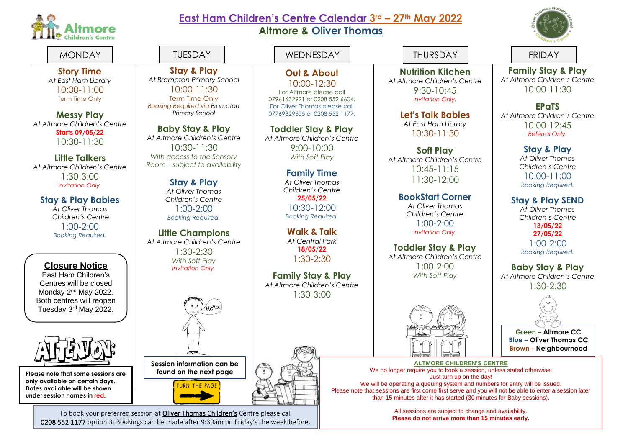

## **East Ham Children's Centre Calendar 3rd – 27th May 2022**

**Altmore & Oliver Thomas**

**Out & About** 10:00-12:30 For Altmore please call 07961632921 or 0208 552 6604. For Oliver Thomas please call 07769329605 or 0208 552 1177.

**Toddler Stay & Play** *At Altmore Children's Centre* 9:00-10:00 *With Soft Play*

> **Family Time** *At Oliver Thomas Children's Centre* **25/05/22** 10:30-12:00 *Booking Required.*





**Green – Altmore CC Blue – Oliver Thomas CC Brown - Neighbourhood**

**ALTMORE CHILDREN'S CENTRE** We no longer require you to book a session, unless stated otherwise. Just turn up on the day!

We will be operating a queuing system and numbers for entry will be issued. Please note that sessions are first come first serve and you will not be able to enter a session later than 15 minutes after it has started (30 minutes for Baby sessions).

> All sessions are subject to change and availability. **Please do not arrive more than 15 minutes early.**

**Story Time** *At East Ham Library* 10:00-11:00 Term Time Only

**Messy Play** *At Altmore Children's Centre* **Starts 09/05/22** 10:30-11:30

**Little Talkers** *At Altmore Children's Centre* 1:30-3:00 *Invitation Only.*

**Stay & Play Babies**

*At Oliver Thomas Children's Centre* 1:00-2:00 *Booking Required.*

**under session names in red.**

**Walk & Talk Little Champions** *At Central Park At Altmore Children's Centre* **18/05/22** 1:30-2:30 1:30-2:30 *With Soft Play* **Closure Notice** *Invitation Only.* East Ham Children's **Family Stay & Play** Centres will be closed *At Altmore Children's Centre* Monday 2<sup>nd</sup> May 2022. 1:30-3:00 Both centres will reopen Tuesday 3rd May 2022. **Session information can be**  Please note that some sessions are  $\|\cdot\|$  found on the next page **only available on certain days.**  TURN THE PAGE **Dates available will be shown** 

**Stay & Play** *At Brampton Primary School* 10:00-11:30 Term Time Only *Booking Required via Brampton Primary School*

**Baby Stay & Play** *At Altmore Children's Centre* 10:30-11:30 *With access to the Sensory Room – subject to availability*

> **Stay & Play** *At Oliver Thomas Children's Centre* 1:00-2:00 *Booking Required.*

To book your preferred session at Oliver Thomas Children's Centre please call 0208 552 1177 option 3. Bookings can be made after 9:30am on Friday's the week before.